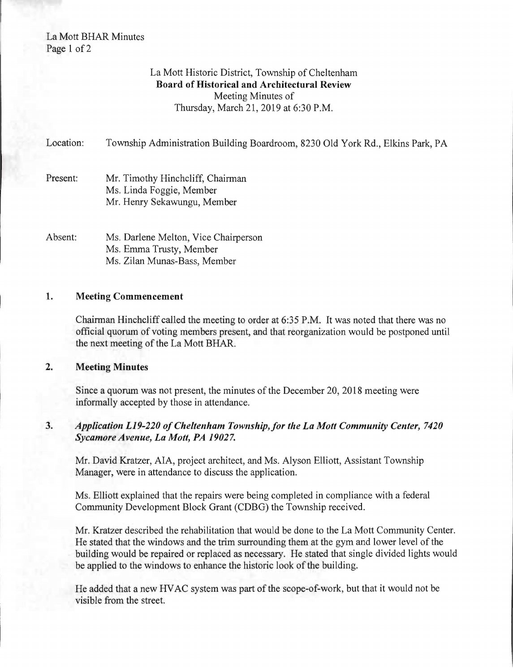# La Mott BHAR Minutes Page 1 of 2

# La Mott Historic District, Township of Cheltenham Board of Historical and Architectural Review Meeting Minutes of Thursday, March 21, 2019 at 6:30 P.M.

Location: Township Administration Building Boardroom, 8230 Old York Rd., Elkins Park, PA Present: Mr. Timothy Hinchcliff, Chairman Ms. Linda Foggie, Member Mr. Henry Sekawungu, Member Absent: Ms. Darlene Melton, Vice Chairperson Ms. Emma Trusty, Member Ms. Zilan Munas-Bass, Member

### 1. Meeting Commencement

Chairman Hinchcliff called the meeting to order at 6:35 P.M. It was noted that there was no official quorum of voting members present, and that reorganization would be postponed until the next meeting of the La Mott BHAR.

## 2. Meeting Minutes

Since a quorum was not present, the minutes of the December 20,2018 meeting were informally accepted by those in attendance.

## 3. *Application L19-220 of Cheltenham Township, for the La Mott Community Center, 7420 Sycamore Avenue, La Mott, PA 19027.*

Mr. David Kratzer, AlA, project architect, and Ms. Alyson Elliott, Assistant Township Manager, were in attendance to discuss the application.

Ms. Elliott explained that the repairs were being completed in compliance with a federal Community Development Block Grant (CDBG) the Township received.

Mr. Kratzer described the rehabilitation that would be done to the La Mott Community Center. He stated that the windows and the trim surrounding them at the gym and lower level of the building would be repaired or replaced as necessary. He stated that single divided lights would be applied to the windows to enhance the historic look of the building.

He added that a new HV AC system was part of the scope-of-work, but that it would not be visible from the street.